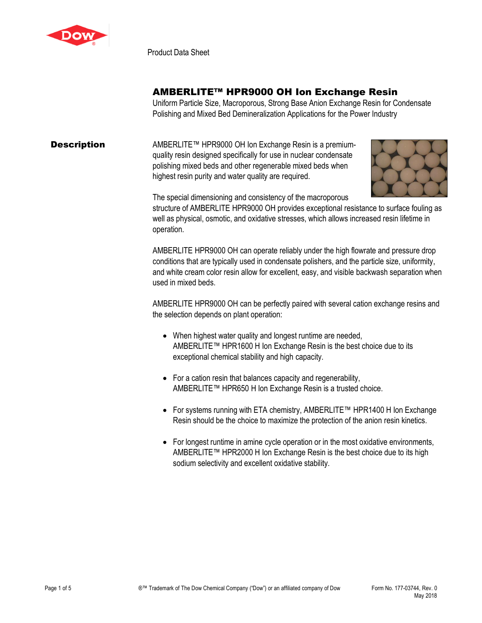

Product Data Sheet

## AMBERLITE™ HPR9000 OH Ion Exchange Resin

Uniform Particle Size, Macroporous, Strong Base Anion Exchange Resin for Condensate Polishing and Mixed Bed Demineralization Applications for the Power Industry

## **Description** AMBERLITE™ HPR9000 OH Ion Exchange Resin is a premiumquality resin designed specifically for use in nuclear condensate polishing mixed beds and other regenerable mixed beds when highest resin purity and water quality are required.



The special dimensioning and consistency of the macroporous

structure of AMBERLITE HPR9000 OH provides exceptional resistance to surface fouling as well as physical, osmotic, and oxidative stresses, which allows increased resin lifetime in operation*.*

AMBERLITE HPR9000 OH can operate reliably under the high flowrate and pressure drop conditions that are typically used in condensate polishers, and the particle size, uniformity, and white cream color resin allow for excellent, easy, and visible backwash separation when used in mixed beds.

AMBERLITE HPR9000 OH can be perfectly paired with several cation exchange resins and the selection depends on plant operation:

- When highest water quality and longest runtime are needed, AMBERLITE™ HPR1600 H Ion Exchange Resin is the best choice due to its exceptional chemical stability and high capacity.
- For a cation resin that balances capacity and regenerability, AMBERLITE™ HPR650 H Ion Exchange Resin is a trusted choice.
- For systems running with ETA chemistry, AMBERLITE™ HPR1400 H Ion Exchange Resin should be the choice to maximize the protection of the anion resin kinetics.
- For longest runtime in amine cycle operation or in the most oxidative environments, AMBERLITE™ HPR2000 H Ion Exchange Resin is the best choice due to its high sodium selectivity and excellent oxidative stability.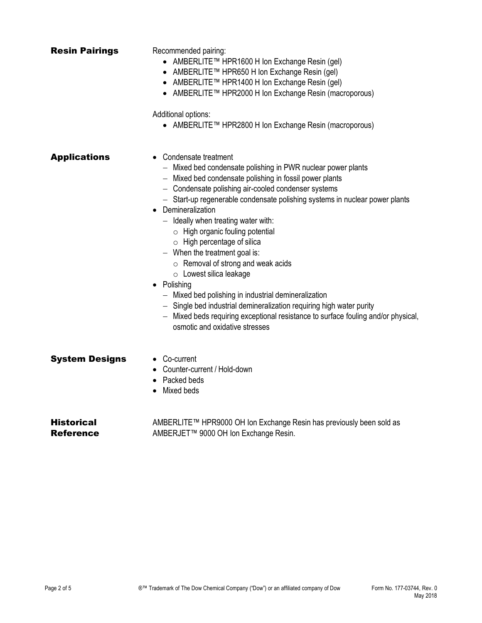| <b>Resin Pairings</b>          | Recommended pairing:<br>● AMBERLITE™ HPR1600 H Ion Exchange Resin (gel)<br>● AMBERLITE™ HPR650 H Ion Exchange Resin (gel)<br>● AMBERLITE™ HPR1400 H Ion Exchange Resin (gel)<br>● AMBERLITE™ HPR2000 H Ion Exchange Resin (macroporous)<br>Additional options:<br>● AMBERLITE™ HPR2800 H Ion Exchange Resin (macroporous)                                                                                                                                                                                                                                                                                                                                                                                                                                                                                                   |
|--------------------------------|-----------------------------------------------------------------------------------------------------------------------------------------------------------------------------------------------------------------------------------------------------------------------------------------------------------------------------------------------------------------------------------------------------------------------------------------------------------------------------------------------------------------------------------------------------------------------------------------------------------------------------------------------------------------------------------------------------------------------------------------------------------------------------------------------------------------------------|
| <b>Applications</b>            | • Condensate treatment<br>- Mixed bed condensate polishing in PWR nuclear power plants<br>- Mixed bed condensate polishing in fossil power plants<br>- Condensate polishing air-cooled condenser systems<br>- Start-up regenerable condensate polishing systems in nuclear power plants<br>• Demineralization<br>$-$ Ideally when treating water with:<br>$\circ$ High organic fouling potential<br>$\circ$ High percentage of silica<br>$-$ When the treatment goal is:<br>$\circ$ Removal of strong and weak acids<br>$\circ$ Lowest silica leakage<br>• Polishing<br>- Mixed bed polishing in industrial demineralization<br>- Single bed industrial demineralization requiring high water purity<br>- Mixed beds requiring exceptional resistance to surface fouling and/or physical,<br>osmotic and oxidative stresses |
| <b>System Designs</b>          | • Co-current<br>• Counter-current / Hold-down<br>• Packed beds<br>Mixed beds                                                                                                                                                                                                                                                                                                                                                                                                                                                                                                                                                                                                                                                                                                                                                |
| <b>Historical</b><br>Reference | AMBERLITE™ HPR9000 OH Ion Exchange Resin has previously been sold as<br>AMBERJET™ 9000 OH Ion Exchange Resin.                                                                                                                                                                                                                                                                                                                                                                                                                                                                                                                                                                                                                                                                                                               |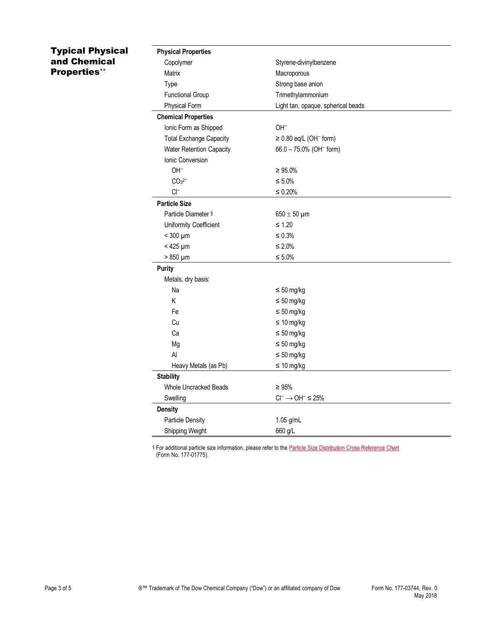## Typical Physical and Chemical Properties\*\*

| <b>Physical Properties</b>     |                                         |
|--------------------------------|-----------------------------------------|
| Copolymer                      | Styrene-divinylbenzene                  |
| Matrix                         | Macroporous                             |
| Type                           | Strong base anion                       |
| <b>Functional Group</b>        | Trimethylammonium                       |
| <b>Physical Form</b>           | Light tan, opaque, spherical beads      |
| <b>Chemical Properties</b>     |                                         |
| Ionic Form as Shipped          | OH <sup>-</sup>                         |
| <b>Total Exchange Capacity</b> | $\geq$ 0.80 eq/L (OH <sup>-</sup> form) |
| Water Retention Capacity       | 66.0 - 75.0% (OH <sup>-</sup> form)     |
| Ionic Conversion               |                                         |
| OH <sup>-</sup>                | $\geq 95.0\%$                           |
| CO <sub>3</sub> <sup>2</sup>   | $\leq 5.0\%$                            |
| $Cl^-$                         | $\leq 0.20\%$                           |
| <b>Particle Size</b>           |                                         |
| Particle Diameter §            | $650 \pm 50$ µm                         |
| Uniformity Coefficient         | $\leq 1.20$                             |
| $<$ 300 $\mu$ m                | ≤ 0.3%                                  |
| $< 425 \mu m$                  | $\leq 2.0\%$                            |
| $>850 \mu m$                   | $\leq 5.0\%$                            |
| <b>Purity</b>                  |                                         |
| Metals, dry basis:             |                                         |
| Na                             | $\leq 50$ mg/kg                         |
| Κ                              | $\leq 50$ mg/kg                         |
| Fe                             | $\leq 50$ mg/kg                         |
| Cu                             | $\leq 10$ mg/kg                         |
| Ca                             | $\leq 50$ mg/kg                         |
| Mg                             | $\leq 50$ mg/kg                         |
| Al                             | $\leq 50$ mg/kg                         |
| Heavy Metals (as Pb)           | $\leq 10$ mg/kg                         |
| <b>Stability</b>               |                                         |
| <b>Whole Uncracked Beads</b>   | $\geq 95\%$                             |
| Swelling                       | $Cl^- \rightarrow OH^- \leq 25\%$       |
| <b>Density</b>                 |                                         |
| <b>Particle Density</b>        | 1.05 g/mL                               |
| Shipping Weight                | 660 g/L                                 |

§ For additional particle size information, please refer to the **Particle Size Distribution Cross Reference Chart** (Form No. 177-01775).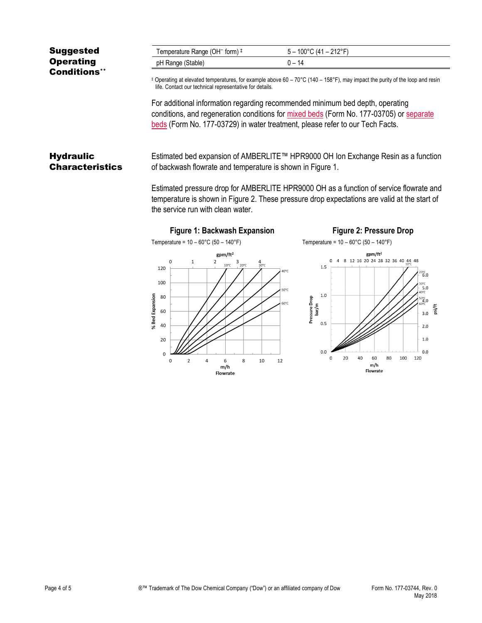| <b>Suggested</b>    | Temperature Range (OH <sup>-</sup> form) ‡                                                                                                                                                    | $5 - 100^{\circ}$ C (41 – 212°F) |
|---------------------|-----------------------------------------------------------------------------------------------------------------------------------------------------------------------------------------------|----------------------------------|
| <b>Operating</b>    | pH Range (Stable)                                                                                                                                                                             | $0 - 14$                         |
| <b>Conditions**</b> |                                                                                                                                                                                               |                                  |
|                     | $\pm$ Operating at elevated temperatures, for example above 60 – 70 °C (140 – 158 °F), may impact the purity of the loop and resin<br>life. Contact our technical representative for details. |                                  |

For additional information regarding recommended minimum bed depth, operating conditions, and regeneration conditions for [mixed beds](http://www.dow.com/webapps/include/GetDoc.aspx?filepath=liquidseps/pdfs/noreg/177-03705.pdf) (Form No. 177-03705) or [separate](http://www.dow.com/webapps/include/GetDoc.aspx?filepath=liquidseps/pdfs/noreg/177-03729.pdf)  [beds](http://www.dow.com/webapps/include/GetDoc.aspx?filepath=liquidseps/pdfs/noreg/177-03729.pdf) (Form No. 177-03729) in water treatment, please refer to our Tech Facts.

**Hydraulic Characteristics** Estimated bed expansion of AMBERLITE™ HPR9000 OH Ion Exchange Resin as a function of backwash flowrate and temperature is shown in Figure 1.

> Estimated pressure drop for AMBERLITE HPR9000 OH as a function of service flowrate and temperature is shown in Figure 2. These pressure drop expectations are valid at the start of the service run with clean water.